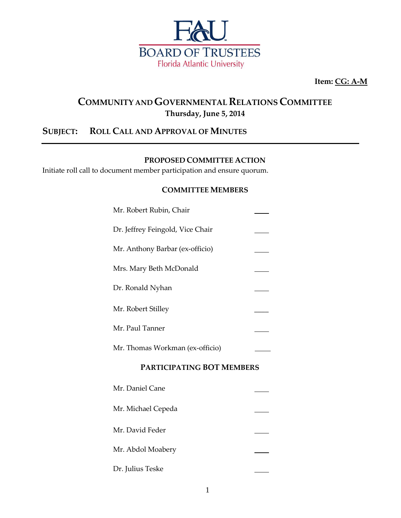

**Item: CG: A-M**

# **COMMUNITY ANDGOVERNMENTAL RELATIONS COMMITTEE Thursday, June 5, 2014**

# **SUBJECT: ROLL CALL AND APPROVAL OF MINUTES**

## **PROPOSED COMMITTEE ACTION**

Initiate roll call to document member participation and ensure quorum.

#### **COMMITTEE MEMBERS**

| Mr. Robert Rubin, Chair          |  |
|----------------------------------|--|
| Dr. Jeffrey Feingold, Vice Chair |  |
| Mr. Anthony Barbar (ex-officio)  |  |
| Mrs. Mary Beth McDonald          |  |
| Dr. Ronald Nyhan                 |  |
| Mr. Robert Stilley               |  |
| Mr. Paul Tanner                  |  |
| Mr. Thomas Workman (ex-officio)  |  |
| <b>PARTICIPATING BOT MEMBERS</b> |  |
| Mr. Daniel Cane                  |  |
| Mr. Michael Cepeda               |  |
| Mr. David Feder                  |  |
| Mr. Abdol Moabery                |  |
|                                  |  |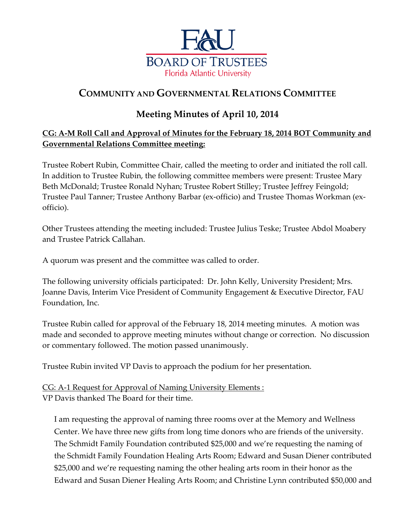

# **COMMUNITY AND GOVERNMENTAL RELATIONS COMMITTEE**

# **Meeting Minutes of April 10, 2014**

# **CG: A-M Roll Call and Approval of Minutes for the February 18, 2014 BOT Community and Governmental Relations Committee meeting:**

Trustee Robert Rubin, Committee Chair, called the meeting to order and initiated the roll call. In addition to Trustee Rubin, the following committee members were present: Trustee Mary Beth McDonald; Trustee Ronald Nyhan; Trustee Robert Stilley; Trustee Jeffrey Feingold; Trustee Paul Tanner; Trustee Anthony Barbar (ex-officio) and Trustee Thomas Workman (exofficio).

Other Trustees attending the meeting included: Trustee Julius Teske; Trustee Abdol Moabery and Trustee Patrick Callahan.

A quorum was present and the committee was called to order.

The following university officials participated: Dr. John Kelly, University President; Mrs. Joanne Davis, Interim Vice President of Community Engagement & Executive Director, FAU Foundation, Inc.

Trustee Rubin called for approval of the February 18, 2014 meeting minutes. A motion was made and seconded to approve meeting minutes without change or correction. No discussion or commentary followed. The motion passed unanimously.

Trustee Rubin invited VP Davis to approach the podium for her presentation.

CG: A-1 Request for Approval of Naming University Elements : VP Davis thanked The Board for their time.

I am requesting the approval of naming three rooms over at the Memory and Wellness Center. We have three new gifts from long time donors who are friends of the university. The Schmidt Family Foundation contributed \$25,000 and we're requesting the naming of the Schmidt Family Foundation Healing Arts Room; Edward and Susan Diener contributed \$25,000 and we're requesting naming the other healing arts room in their honor as the Edward and Susan Diener Healing Arts Room; and Christine Lynn contributed \$50,000 and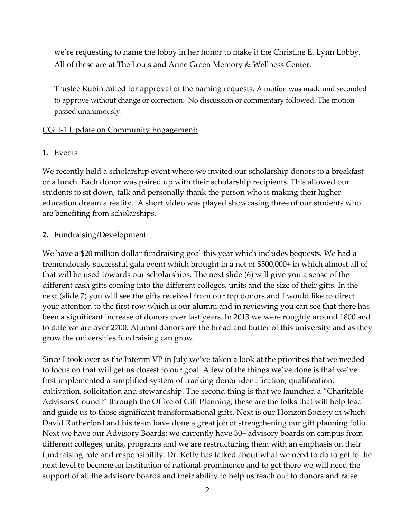we're requesting to name the lobby in her honor to make it the Christine E. Lynn Lobby. All of these are at The Louis and Anne Green Memory & Wellness Center.

Trustee Rubin called for approval of the naming requests. A motion was made and seconded to approve without change or correction. No discussion or commentary followed. The motion passed unanimously.

#### CG: I-1 Update on Community Engagement:

#### **1.** Events

We recently held a scholarship event where we invited our scholarship donors to a breakfast or a lunch. Each donor was paired up with their scholarship recipients. This allowed our students to sit down, talk and personally thank the person who is making their higher education dream a reality. A short video was played showcasing three of our students who are benefiting from scholarships.

## **2.** Fundraising/Development

We have a \$20 million dollar fundraising goal this year which includes bequests. We had a tremendously successful gala event which brought in a net of \$500,000+ in which almost all of that will be used towards our scholarships. The next slide (6) will give you a sense of the different cash gifts coming into the different colleges, units and the size of their gifts. In the next (slide 7) you will see the gifts received from our top donors and I would like to direct your attention to the first row which is our alumni and in reviewing you can see that there has been a significant increase of donors over last years. In 2013 we were roughly around 1800 and to date we are over 2700. Alumni donors are the bread and butter of this university and as they grow the universities fundraising can grow.

Since I took over as the Interim VP in July we've taken a look at the priorities that we needed to focus on that will get us closest to our goal. A few of the things we've done is that we've first implemented a simplified system of tracking donor identification, qualification, cultivation, solicitation and stewardship. The second thing is that we launched a "Charitable Advisors Council" through the Office of Gift Planning; these are the folks that will help lead and guide us to those significant transformational gifts. Next is our Horizon Society in which David Rutherford and his team have done a great job of strengthening our gift planning folio. Next we have our Advisory Boards; we currently have 30+ advisory boards on campus from different colleges, units, programs and we are restructuring them with an emphasis on their fundraising role and responsibility. Dr. Kelly has talked about what we need to do to get to the next level to become an institution of national prominence and to get there we will need the support of all the advisory boards and their ability to help us reach out to donors and raise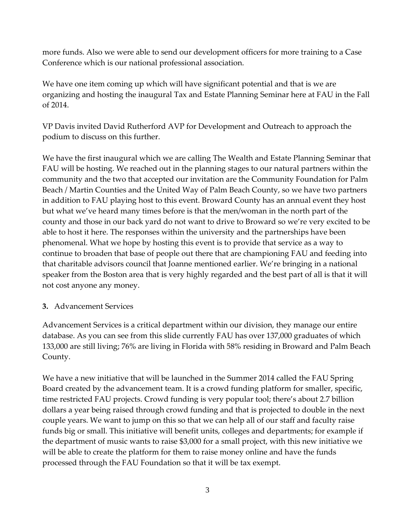more funds. Also we were able to send our development officers for more training to a Case Conference which is our national professional association.

We have one item coming up which will have significant potential and that is we are organizing and hosting the inaugural Tax and Estate Planning Seminar here at FAU in the Fall of 2014.

VP Davis invited David Rutherford AVP for Development and Outreach to approach the podium to discuss on this further.

We have the first inaugural which we are calling The Wealth and Estate Planning Seminar that FAU will be hosting. We reached out in the planning stages to our natural partners within the community and the two that accepted our invitation are the Community Foundation for Palm Beach / Martin Counties and the United Way of Palm Beach County, so we have two partners in addition to FAU playing host to this event. Broward County has an annual event they host but what we've heard many times before is that the men/woman in the north part of the county and those in our back yard do not want to drive to Broward so we're very excited to be able to host it here. The responses within the university and the partnerships have been phenomenal. What we hope by hosting this event is to provide that service as a way to continue to broaden that base of people out there that are championing FAU and feeding into that charitable advisors council that Joanne mentioned earlier. We're bringing in a national speaker from the Boston area that is very highly regarded and the best part of all is that it will not cost anyone any money.

## **3.** Advancement Services

Advancement Services is a critical department within our division, they manage our entire database. As you can see from this slide currently FAU has over 137,000 graduates of which 133,000 are still living; 76% are living in Florida with 58% residing in Broward and Palm Beach County.

We have a new initiative that will be launched in the Summer 2014 called the FAU Spring Board created by the advancement team. It is a crowd funding platform for smaller, specific, time restricted FAU projects. Crowd funding is very popular tool; there's about 2.7 billion dollars a year being raised through crowd funding and that is projected to double in the next couple years. We want to jump on this so that we can help all of our staff and faculty raise funds big or small. This initiative will benefit units, colleges and departments; for example if the department of music wants to raise \$3,000 for a small project, with this new initiative we will be able to create the platform for them to raise money online and have the funds processed through the FAU Foundation so that it will be tax exempt.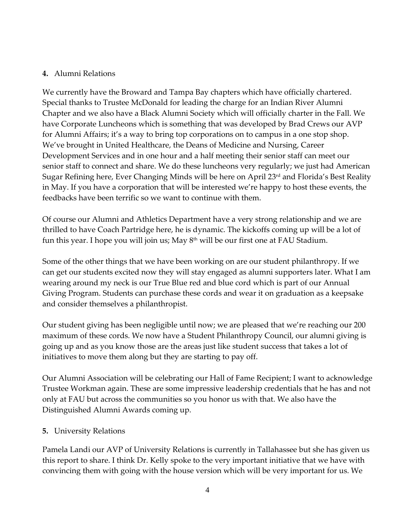## **4.** Alumni Relations

We currently have the Broward and Tampa Bay chapters which have officially chartered. Special thanks to Trustee McDonald for leading the charge for an Indian River Alumni Chapter and we also have a Black Alumni Society which will officially charter in the Fall. We have Corporate Luncheons which is something that was developed by Brad Crews our AVP for Alumni Affairs; it's a way to bring top corporations on to campus in a one stop shop. We've brought in United Healthcare, the Deans of Medicine and Nursing, Career Development Services and in one hour and a half meeting their senior staff can meet our senior staff to connect and share. We do these luncheons very regularly; we just had American Sugar Refining here, Ever Changing Minds will be here on April 23<sup>rd</sup> and Florida's Best Reality in May. If you have a corporation that will be interested we're happy to host these events, the feedbacks have been terrific so we want to continue with them.

Of course our Alumni and Athletics Department have a very strong relationship and we are thrilled to have Coach Partridge here, he is dynamic. The kickoffs coming up will be a lot of fun this year. I hope you will join us; May  $8<sup>th</sup>$  will be our first one at FAU Stadium.

Some of the other things that we have been working on are our student philanthropy. If we can get our students excited now they will stay engaged as alumni supporters later. What I am wearing around my neck is our True Blue red and blue cord which is part of our Annual Giving Program. Students can purchase these cords and wear it on graduation as a keepsake and consider themselves a philanthropist.

Our student giving has been negligible until now; we are pleased that we're reaching our 200 maximum of these cords. We now have a Student Philanthropy Council, our alumni giving is going up and as you know those are the areas just like student success that takes a lot of initiatives to move them along but they are starting to pay off.

Our Alumni Association will be celebrating our Hall of Fame Recipient; I want to acknowledge Trustee Workman again. These are some impressive leadership credentials that he has and not only at FAU but across the communities so you honor us with that. We also have the Distinguished Alumni Awards coming up.

## **5.** University Relations

Pamela Landi our AVP of University Relations is currently in Tallahassee but she has given us this report to share. I think Dr. Kelly spoke to the very important initiative that we have with convincing them with going with the house version which will be very important for us. We